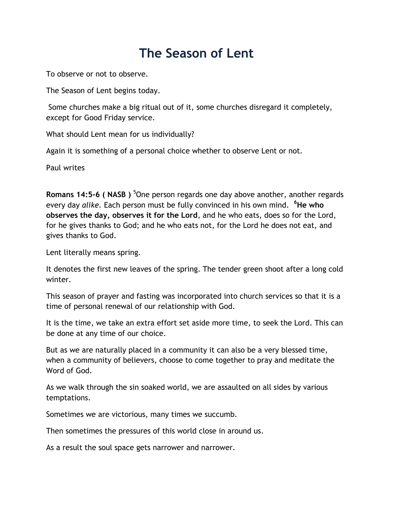## **The Season of Lent**

To observe or not to observe.

The Season of Lent begins today.

Some churches make a big ritual out of it, some churches disregard it completely, except for Good Friday service.

What should Lent mean for us individually?

Again it is something of a personal choice whether to observe Lent or not.

Paul writes

**Romans 14:5-6 ( NASB** ) <sup>5</sup>One person regards one day above another, another regards every day *alike.* Each person must be fully convinced in his own mind. **<sup>6</sup>He who observes the day, observes it for the Lord**, and he who eats, does so for the Lord, for he gives thanks to God; and he who eats not, for the Lord he does not eat, and gives thanks to God.

Lent literally means spring.

It denotes the first new leaves of the spring. The tender green shoot after a long cold winter.

This season of prayer and fasting was incorporated into church services so that it is a time of personal renewal of our relationship with God.

It is the time, we take an extra effort set aside more time, to seek the Lord. This can be done at any time of our choice.

But as we are naturally placed in a community it can also be a very blessed time, when a community of believers, choose to come together to pray and meditate the Word of God.

As we walk through the sin soaked world, we are assaulted on all sides by various temptations.

Sometimes we are victorious, many times we succumb.

Then sometimes the pressures of this world close in around us.

As a result the soul space gets narrower and narrower.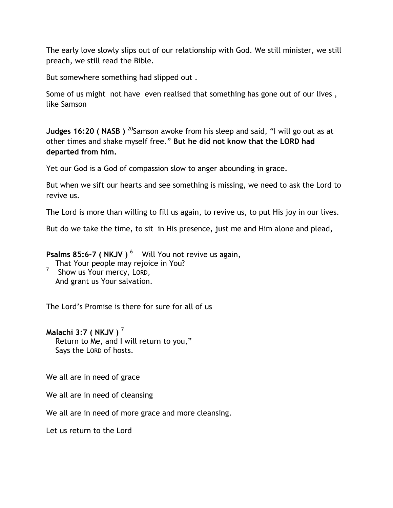The early love slowly slips out of our relationship with God. We still minister, we still preach, we still read the Bible.

But somewhere something had slipped out .

Some of us might not have even realised that something has gone out of our lives , like Samson

**Judges 16:20 ( NASB )** <sup>20</sup>Samson awoke from his sleep and said, "I will go out as at other times and shake myself free." **But he did not know that the LORD had departed from him.**

Yet our God is a God of compassion slow to anger abounding in grace.

But when we sift our hearts and see something is missing, we need to ask the Lord to revive us.

The Lord is more than willing to fill us again, to revive us, to put His joy in our lives.

But do we take the time, to sit in His presence, just me and Him alone and plead,

Psalms 85:6-7 ( NKJV ) <sup>6</sup> Will You not revive us again,

 That Your people may rejoice in You? 7 Show us Your mercy, LORD, And grant us Your salvation.

The Lord's Promise is there for sure for all of us

## **Malachi 3:7 ( NKJV )** <sup>7</sup>

 Return to Me, and I will return to you," Says the LORD of hosts.

We all are in need of grace

We all are in need of cleansing

We all are in need of more grace and more cleansing.

Let us return to the Lord